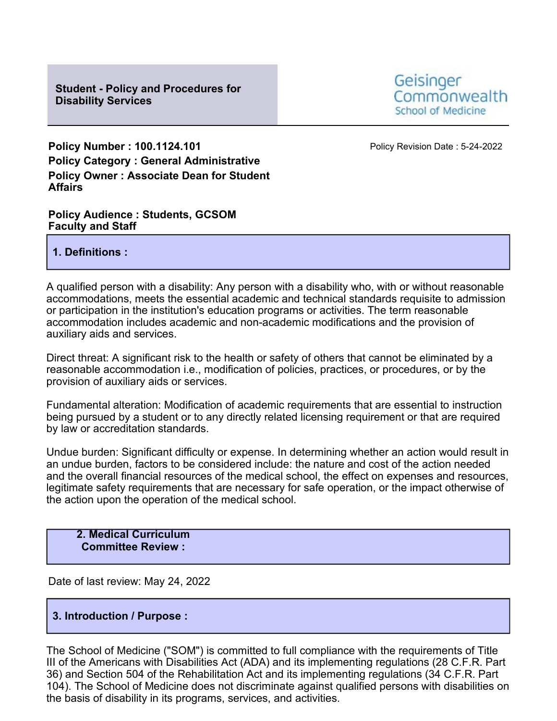

**Policy Number : 100.1124.101 Policy Revision Date : 5-24-2022 Policy Category : General Administrative Policy Owner : Associate Dean for Student Affairs**

**Policy Audience : Students, GCSOM Faculty and Staff**

**1. Definitions :**

A qualified person with a disability: Any person with a disability who, with or without reasonable accommodations, meets the essential academic and technical standards requisite to admission or participation in the institution's education programs or activities. The term reasonable accommodation includes academic and non-academic modifications and the provision of auxiliary aids and services.

Direct threat: A significant risk to the health or safety of others that cannot be eliminated by a reasonable accommodation i.e., modification of policies, practices, or procedures, or by the provision of auxiliary aids or services.

Fundamental alteration: Modification of academic requirements that are essential to instruction being pursued by a student or to any directly related licensing requirement or that are required by law or accreditation standards.

Undue burden: Significant difficulty or expense. In determining whether an action would result in an undue burden, factors to be considered include: the nature and cost of the action needed and the overall financial resources of the medical school, the effect on expenses and resources, legitimate safety requirements that are necessary for safe operation, or the impact otherwise of the action upon the operation of the medical school.

**2. Medical Curriculum Committee Review :**

Date of last review: May 24, 2022

# **3. Introduction / Purpose :**

The School of Medicine ("SOM") is committed to full compliance with the requirements of Title III of the Americans with Disabilities Act (ADA) and its implementing regulations (28 C.F.R. Part 36) and Section 504 of the Rehabilitation Act and its implementing regulations (34 C.F.R. Part 104). The School of Medicine does not discriminate against qualified persons with disabilities on the basis of disability in its programs, services, and activities.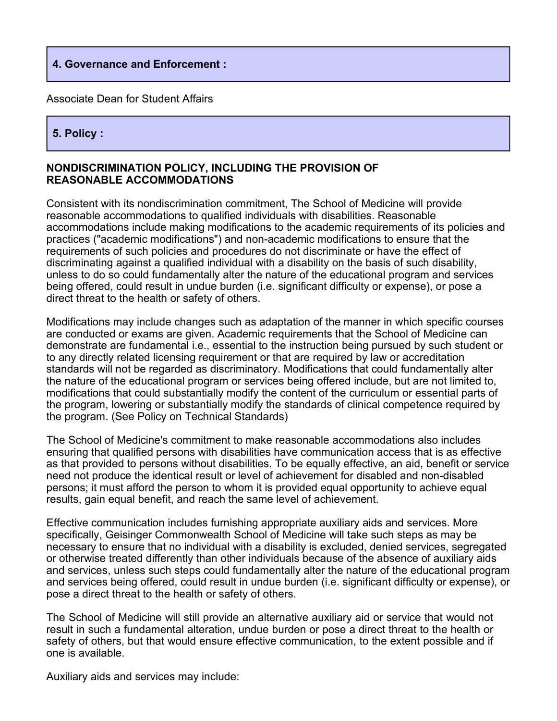#### **4. Governance and Enforcement :**

Associate Dean for Student Affairs

# **5. Policy :**

#### **NONDISCRIMINATION POLICY, INCLUDING THE PROVISION OF REASONABLE ACCOMMODATIONS**

Consistent with its nondiscrimination commitment, The School of Medicine will provide reasonable accommodations to qualified individuals with disabilities. Reasonable accommodations include making modifications to the academic requirements of its policies and practices ("academic modifications") and non-academic modifications to ensure that the requirements of such policies and procedures do not discriminate or have the effect of discriminating against a qualified individual with a disability on the basis of such disability, unless to do so could fundamentally alter the nature of the educational program and services being offered, could result in undue burden (i.e. significant difficulty or expense), or pose a direct threat to the health or safety of others.

Modifications may include changes such as adaptation of the manner in which specific courses are conducted or exams are given. Academic requirements that the School of Medicine can demonstrate are fundamental i.e., essential to the instruction being pursued by such student or to any directly related licensing requirement or that are required by law or accreditation standards will not be regarded as discriminatory. Modifications that could fundamentally alter the nature of the educational program or services being offered include, but are not limited to, modifications that could substantially modify the content of the curriculum or essential parts of the program, lowering or substantially modify the standards of clinical competence required by the program. (See Policy on Technical Standards)

The School of Medicine's commitment to make reasonable accommodations also includes ensuring that qualified persons with disabilities have communication access that is as effective as that provided to persons without disabilities. To be equally effective, an aid, benefit or service need not produce the identical result or level of achievement for disabled and non-disabled persons; it must afford the person to whom it is provided equal opportunity to achieve equal results, gain equal benefit, and reach the same level of achievement.

Effective communication includes furnishing appropriate auxiliary aids and services. More specifically, Geisinger Commonwealth School of Medicine will take such steps as may be necessary to ensure that no individual with a disability is excluded, denied services, segregated or otherwise treated differently than other individuals because of the absence of auxiliary aids and services, unless such steps could fundamentally alter the nature of the educational program and services being offered, could result in undue burden (i.e. significant difficulty or expense), or pose a direct threat to the health or safety of others.

The School of Medicine will still provide an alternative auxiliary aid or service that would not result in such a fundamental alteration, undue burden or pose a direct threat to the health or safety of others, but that would ensure effective communication, to the extent possible and if one is available.

Auxiliary aids and services may include: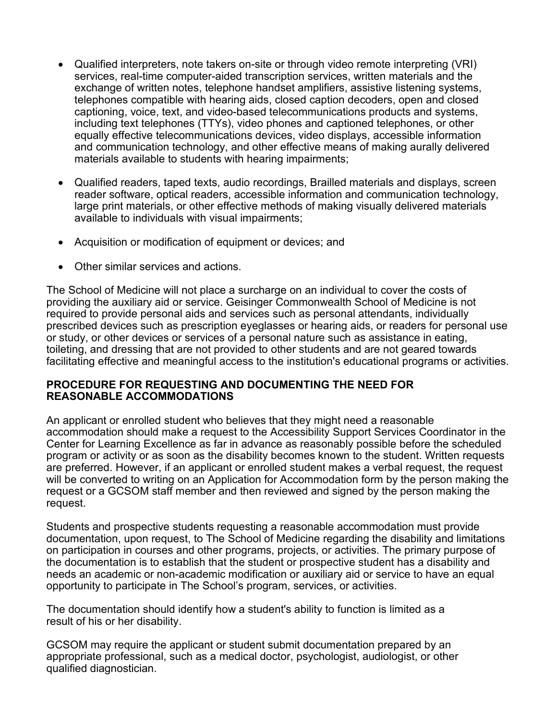- Qualified interpreters, note takers on-site or through video remote interpreting (VRI) services, real-time computer-aided transcription services, written materials and the exchange of written notes, telephone handset amplifiers, assistive listening systems, telephones compatible with hearing aids, closed caption decoders, open and closed captioning, voice, text, and video-based telecommunications products and systems, including text telephones (TTYs), video phones and captioned telephones, or other equally effective telecommunications devices, video displays, accessible information and communication technology, and other effective means of making aurally delivered materials available to students with hearing impairments;
- Qualified readers, taped texts, audio recordings, Brailled materials and displays, screen reader software, optical readers, accessible information and communication technology, large print materials, or other effective methods of making visually delivered materials available to individuals with visual impairments;
- Acquisition or modification of equipment or devices; and
- Other similar services and actions.

The School of Medicine will not place a surcharge on an individual to cover the costs of providing the auxiliary aid or service. Geisinger Commonwealth School of Medicine is not required to provide personal aids and services such as personal attendants, individually prescribed devices such as prescription eyeglasses or hearing aids, or readers for personal use or study, or other devices or services of a personal nature such as assistance in eating, toileting, and dressing that are not provided to other students and are not geared towards facilitating effective and meaningful access to the institution's educational programs or activities.

#### **PROCEDURE FOR REQUESTING AND DOCUMENTING THE NEED FOR REASONABLE ACCOMMODATIONS**

An applicant or enrolled student who believes that they might need a reasonable accommodation should make a request to the Accessibility Support Services Coordinator in the Center for Learning Excellence as far in advance as reasonably possible before the scheduled program or activity or as soon as the disability becomes known to the student. Written requests are preferred. However, if an applicant or enrolled student makes a verbal request, the request will be converted to writing on an Application for Accommodation form by the person making the request or a GCSOM staff member and then reviewed and signed by the person making the request.

Students and prospective students requesting a reasonable accommodation must provide documentation, upon request, to The School of Medicine regarding the disability and limitations on participation in courses and other programs, projects, or activities. The primary purpose of the documentation is to establish that the student or prospective student has a disability and needs an academic or non-academic modification or auxiliary aid or service to have an equal opportunity to participate in The School's program, services, or activities.

The documentation should identify how a student's ability to function is limited as a result of his or her disability.

GCSOM may require the applicant or student submit documentation prepared by an appropriate professional, such as a medical doctor, psychologist, audiologist, or other qualified diagnostician.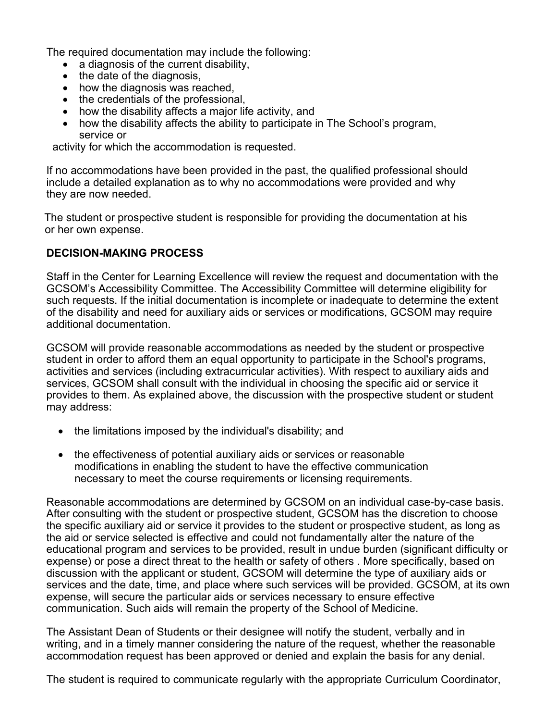The required documentation may include the following:

- a diagnosis of the current disability,
- the date of the diagnosis,
- how the diagnosis was reached,
- the credentials of the professional,
- how the disability affects a major life activity, and
- how the disability affects the ability to participate in The School's program, service or

activity for which the accommodation is requested.

If no accommodations have been provided in the past, the qualified professional should include a detailed explanation as to why no accommodations were provided and why they are now needed.

The student or prospective student is responsible for providing the documentation at his or her own expense.

# **DECISION-MAKING PROCESS**

Staff in the Center for Learning Excellence will review the request and documentation with the GCSOM's Accessibility Committee. The Accessibility Committee will determine eligibility for such requests. If the initial documentation is incomplete or inadequate to determine the extent of the disability and need for auxiliary aids or services or modifications, GCSOM may require additional documentation.

GCSOM will provide reasonable accommodations as needed by the student or prospective student in order to afford them an equal opportunity to participate in the School's programs, activities and services (including extracurricular activities). With respect to auxiliary aids and services, GCSOM shall consult with the individual in choosing the specific aid or service it provides to them. As explained above, the discussion with the prospective student or student may address:

- the limitations imposed by the individual's disability; and
- the effectiveness of potential auxiliary aids or services or reasonable modifications in enabling the student to have the effective communication necessary to meet the course requirements or licensing requirements.

Reasonable accommodations are determined by GCSOM on an individual case-by-case basis. After consulting with the student or prospective student, GCSOM has the discretion to choose the specific auxiliary aid or service it provides to the student or prospective student, as long as the aid or service selected is effective and could not fundamentally alter the nature of the educational program and services to be provided, result in undue burden (significant difficulty or expense) or pose a direct threat to the health or safety of others . More specifically, based on discussion with the applicant or student, GCSOM will determine the type of auxiliary aids or services and the date, time, and place where such services will be provided. GCSOM, at its own expense, will secure the particular aids or services necessary to ensure effective communication. Such aids will remain the property of the School of Medicine.

The Assistant Dean of Students or their designee will notify the student, verbally and in writing, and in a timely manner considering the nature of the request, whether the reasonable accommodation request has been approved or denied and explain the basis for any denial.

The student is required to communicate regularly with the appropriate Curriculum Coordinator,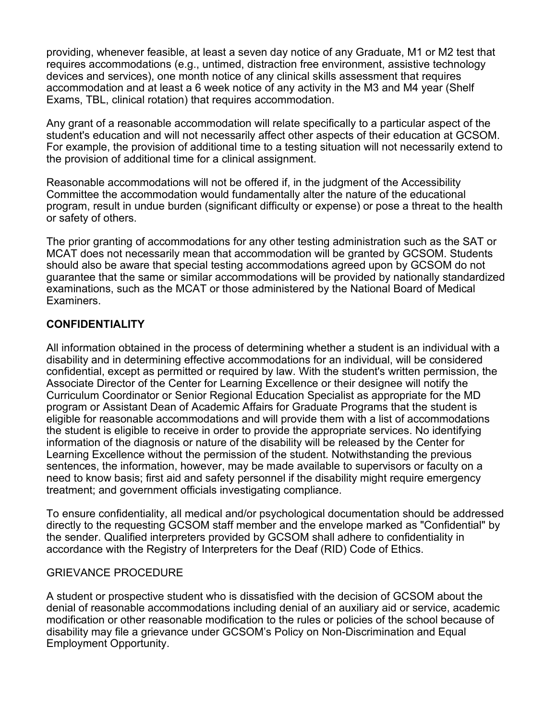providing, whenever feasible, at least a seven day notice of any Graduate, M1 or M2 test that requires accommodations (e.g., untimed, distraction free environment, assistive technology devices and services), one month notice of any clinical skills assessment that requires accommodation and at least a 6 week notice of any activity in the M3 and M4 year (Shelf Exams, TBL, clinical rotation) that requires accommodation.

Any grant of a reasonable accommodation will relate specifically to a particular aspect of the student's education and will not necessarily affect other aspects of their education at GCSOM. For example, the provision of additional time to a testing situation will not necessarily extend to the provision of additional time for a clinical assignment.

Reasonable accommodations will not be offered if, in the judgment of the Accessibility Committee the accommodation would fundamentally alter the nature of the educational program, result in undue burden (significant difficulty or expense) or pose a threat to the health or safety of others.

The prior granting of accommodations for any other testing administration such as the SAT or MCAT does not necessarily mean that accommodation will be granted by GCSOM. Students should also be aware that special testing accommodations agreed upon by GCSOM do not guarantee that the same or similar accommodations will be provided by nationally standardized examinations, such as the MCAT or those administered by the National Board of Medical Examiners.

### **CONFIDENTIALITY**

All information obtained in the process of determining whether a student is an individual with a disability and in determining effective accommodations for an individual, will be considered confidential, except as permitted or required by law. With the student's written permission, the Associate Director of the Center for Learning Excellence or their designee will notify the Curriculum Coordinator or Senior Regional Education Specialist as appropriate for the MD program or Assistant Dean of Academic Affairs for Graduate Programs that the student is eligible for reasonable accommodations and will provide them with a list of accommodations the student is eligible to receive in order to provide the appropriate services. No identifying information of the diagnosis or nature of the disability will be released by the Center for Learning Excellence without the permission of the student. Notwithstanding the previous sentences, the information, however, may be made available to supervisors or faculty on a need to know basis; first aid and safety personnel if the disability might require emergency treatment; and government officials investigating compliance.

To ensure confidentiality, all medical and/or psychological documentation should be addressed directly to the requesting GCSOM staff member and the envelope marked as "Confidential" by the sender. Qualified interpreters provided by GCSOM shall adhere to confidentiality in accordance with the Registry of Interpreters for the Deaf (RID) Code of Ethics.

#### GRIEVANCE PROCEDURE

A student or prospective student who is dissatisfied with the decision of GCSOM about the denial of reasonable accommodations including denial of an auxiliary aid or service, academic modification or other reasonable modification to the rules or policies of the school because of disability may file a grievance under GCSOM's Policy on Non-Discrimination and Equal Employment Opportunity.